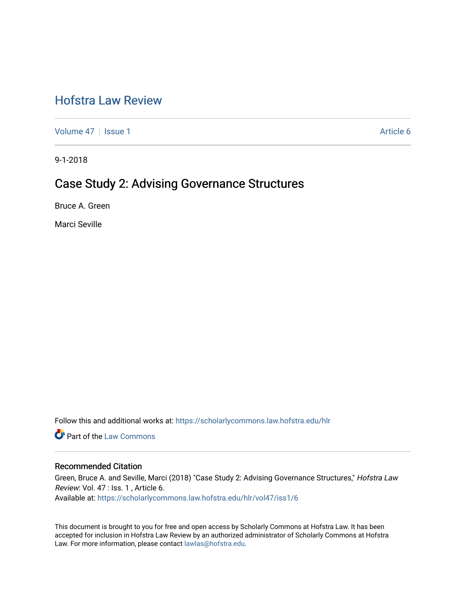# [Hofstra Law Review](https://scholarlycommons.law.hofstra.edu/hlr)

[Volume 47](https://scholarlycommons.law.hofstra.edu/hlr/vol47) | [Issue 1](https://scholarlycommons.law.hofstra.edu/hlr/vol47/iss1) Article 6

9-1-2018

## Case Study 2: Advising Governance Structures

Bruce A. Green

Marci Seville

Follow this and additional works at: [https://scholarlycommons.law.hofstra.edu/hlr](https://scholarlycommons.law.hofstra.edu/hlr?utm_source=scholarlycommons.law.hofstra.edu%2Fhlr%2Fvol47%2Fiss1%2F6&utm_medium=PDF&utm_campaign=PDFCoverPages)

**C** Part of the [Law Commons](http://network.bepress.com/hgg/discipline/578?utm_source=scholarlycommons.law.hofstra.edu%2Fhlr%2Fvol47%2Fiss1%2F6&utm_medium=PDF&utm_campaign=PDFCoverPages)

### Recommended Citation

Green, Bruce A. and Seville, Marci (2018) "Case Study 2: Advising Governance Structures," Hofstra Law Review: Vol. 47 : Iss. 1 , Article 6. Available at: [https://scholarlycommons.law.hofstra.edu/hlr/vol47/iss1/6](https://scholarlycommons.law.hofstra.edu/hlr/vol47/iss1/6?utm_source=scholarlycommons.law.hofstra.edu%2Fhlr%2Fvol47%2Fiss1%2F6&utm_medium=PDF&utm_campaign=PDFCoverPages)

This document is brought to you for free and open access by Scholarly Commons at Hofstra Law. It has been accepted for inclusion in Hofstra Law Review by an authorized administrator of Scholarly Commons at Hofstra Law. For more information, please contact [lawlas@hofstra.edu.](mailto:lawlas@hofstra.edu)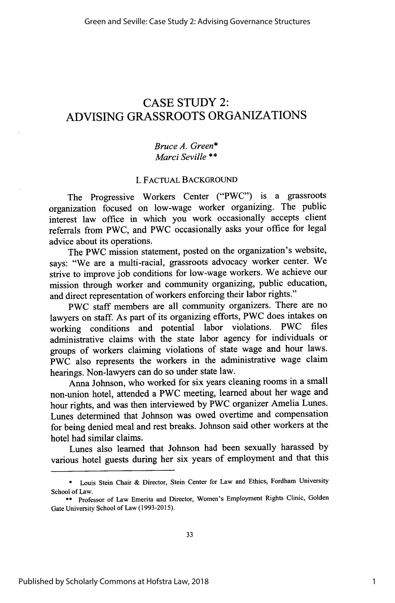## CASE STUDY 2: ADVISING GRASSROOTS ORGANIZATIONS

### *Bruce A. Green\* Marci Seville* \*\*

#### I. FACTUAL BACKGROUND

The Progressive Workers Center ("PWC") is a grassroots organization focused on low-wage worker organizing. The public interest law office in which you work occasionally accepts client referrals from PWC, and PWC occasionally asks your office for legal advice about its operations.

The PWC mission statement, posted on the organization's website, says: "We are a multi-racial, grassroots advocacy worker center. We strive to improve job conditions for low-wage workers. We achieve our mission through worker and community organizing, public education, and direct representation of workers enforcing their labor rights."

PWC staff members are all community organizers. There are no lawyers on staff. As part of its organizing efforts, PWC does intakes on working conditions and potential labor violations. PWC files administrative claims with the state labor agency for individuals or groups of workers claiming violations of state wage and hour laws. PWC also represents the workers in the administrative wage claim hearings. Non-lawyers can do so under state law.

Anna Johnson, who worked for six years cleaning rooms in a small non-union hotel, attended a PWC meeting, learned about her wage and hour rights, and was then interviewed by PWC organizer Amelia Lunes. Lunes determined that Johnson was owed overtime and compensation for being denied meal and rest breaks, Johnson said other workers at the hotel had similar claims.

Lunes also learned that Johnson had been sexually harassed by various hotel guests during her six years of employment and that this

<sup>\*</sup> Louis Stein Chair & Director, Stein Center for Law and Ethics, Fordham University School of Law.

<sup>\*\*</sup> Professor of Law Emerita and Director, Women's Employment Rights Clinic, Golden Gate University School of Law (1993-2015).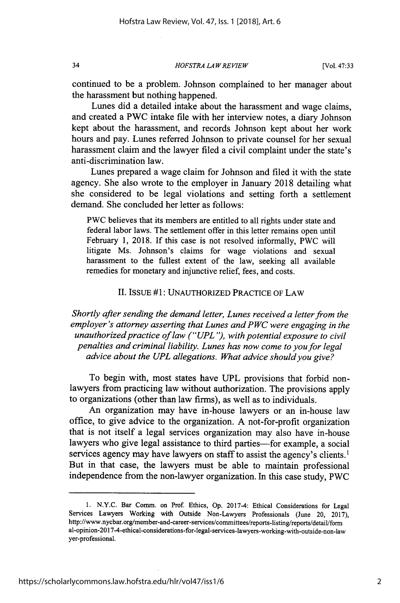*HOFSTRA LA W REVIEW*

continued to be a problem. Johnson complained to her manager about the harassment but nothing happened.

Lunes did a detailed intake about the harassment and wage claims, and created a PWC intake file with her interview notes, a diary Johnson kept about the harassment, and records Johnson kept about her work hours and pay. Lunes referred Johnson to private counsel for her sexual harassment claim and the lawyer filed a civil complaint under the state's anti-discrimination law.

Lunes prepared a wage claim for Johnson and filed it with the state agency. She also wrote to the employer in January 2018 detailing what she considered to be legal violations and setting forth a settlement demand. She concluded her letter as follows:

PWC believes that its members are entitled to all rights under state and federal labor laws. The settlement offer in this letter remains open until February 1, 2018. If this case is not resolved informally, PWC will litigate Ms. Johnson's claims for wage violations and sexual harassment to the fullest extent of the law, seeking all available remedies for monetary and injunctive relief, fees, and costs.

#### II. ISSUE #1: UNAUTHORIZED PRACTICE OF LAW

*Shortly after sending the demand letter, Lunes received a letter from the employer's attorney asserting that Lunes and PWC were engaging in the unauthorized practice of law ("UPL"), with potential exposure to civil penalties and criminal liability. Lunes has now come to you for legal advice about the UPL allegations. What advice should you give?*

To begin with, most states have UPL provisions that forbid nonlawyers from practicing law without authorization. The provisions apply to organizations (other than law firms), as well as to individuals.

An organization may have in-house lawyers or an in-house law office, to give advice to the organization. A not-for-profit organization that is not itself a legal services organization may also have in-house lawyers who give legal assistance to third parties-for example, a social services agency may have lawyers on staff to assist the agency's clients.<sup>1</sup> But in that case, the lawyers must be able to maintain professional independence from the non-lawyer organization. In this case study, PWC

34

<sup>1.</sup> N.Y.C. Bar Comm. on Prof. Ethics, Op. 2017-4: Ethical Considerations for Legal Services Lawyers Working with Outside Non-Lawyers Professionals (June 20, 2017), http://www.nycbar.org/member-and-career-services/conmmittees/reports-listing/reports/detail/form al-opinion-2017-4-ethical-considerations-for-legal-services-lawyers-working-with-outside-non-la yer-professional.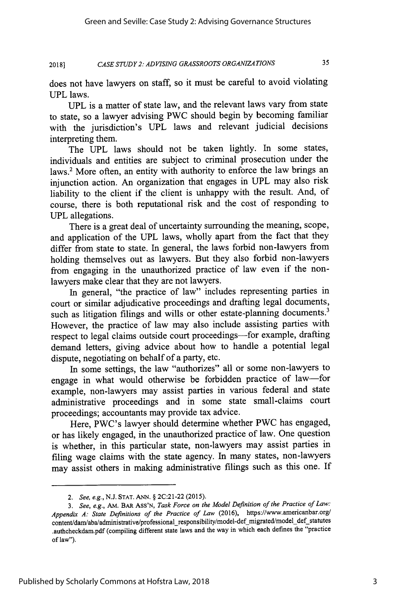#### *CASE STUDY 2: ADVISING GRASSROOTS ORGANIZATIONS* **2018]**

35

does not have lawyers on staff, so it must be careful to avoid violating UPL laws.

UPL is a matter of state law, and the relevant laws vary from state to state, so a lawyer advising PWC should begin by becoming familiar with the jurisdiction's UPL laws and relevant judicial decisions interpreting them.

The UPL laws should not be taken lightly. In some states, individuals and entities are subject to criminal prosecution under the laws.<sup>2</sup> More often, an entity with authority to enforce the law brings an injunction action. An organization that engages in UPL may also risk liability to the client if the client is unhappy with the result. And, of course, there is both reputational risk and the cost of responding to **UPL** allegations.

There is a great deal of uncertainty surrounding the meaning, scope, and application of the UPL laws, wholly apart from the fact that they differ from state to state. In general, the laws forbid non-lawyers from holding themselves out as lawyers. But they also forbid non-lawyers from engaging in the unauthorized practice of law even if the nonlawyers make clear that they are not lawyers.

In general, "the practice of law" includes representing parties in court or similar adjudicative proceedings and drafting legal documents, such as litigation filings and wills or other estate-planning documents.<sup>3</sup> However, the practice of law may also include assisting parties with respect to legal claims outside court proceedings-for example, drafting demand letters, giving advice about how to handle a potential legal dispute, negotiating on behalf of a party, etc.

In some settings, the law "authorizes" all or some non-lawyers to engage in what would otherwise be forbidden practice of law-for example, non-lawyers may assist parties in various federal and state administrative proceedings and in some state small-claims court proceedings; accountants may provide tax advice.

Here, PWC's lawyer should determine whether PWC has engaged, or has likely engaged, in the unauthorized practice of law. One question is whether, in this particular state, non-lawyers may assist parties in filing wage claims with the state agency. In many states, non-lawyers may assist others in making administrative filings such as this one. If

*<sup>2.</sup> See, e.g.,* N.J. STAT. **ANN.** § 2C:21-22 (2015).

*<sup>3.</sup> See, e.g.,* AM. BAR ASS'N, *Task Force on the Model Definition of the Practice of Law: Appendix A: State Definitions of the Practice of Law* (2016), https://www.americanbar.org/ content/dam/aba/administrative/professional\_responsibility/model-def\_migrated/model\_def\_statutes .authcheckdam.pdf (compiling different state laws and the way in which each defines the "practice of law").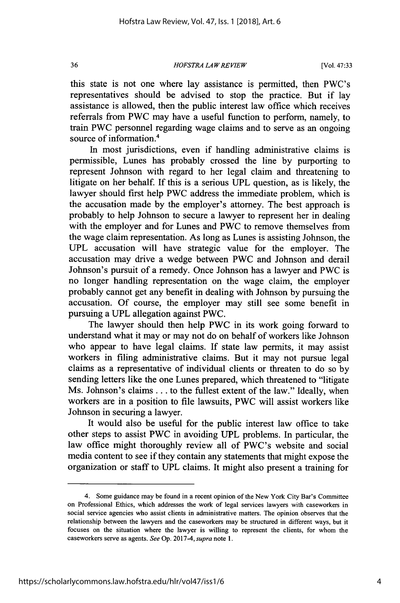*HOFSTRA LAW REVIEW*

this state is not one where lay assistance is permitted, then PWC's representatives should be advised to stop the practice. But if lay assistance is allowed, then the public interest law office which receives referrals from PWC may have a useful function to perform, namely, to train PWC personnel regarding wage claims and to serve as an ongoing source of information.<sup>4</sup>

In most jurisdictions, even if handling administrative claims is permissible, Lunes has probably crossed the line by purporting to represent Johnson with regard to her legal claim and threatening to litigate on her behalf. If this is a serious **UPL** question, as is likely, the lawyer should first help PWC address the immediate problem, which is the accusation made by the employer's attorney. The best approach is probably to help Johnson to secure a lawyer to represent her in dealing with the employer and for Lunes and PWC to remove themselves from the wage claim representation. As long as Lunes is assisting Johnson, the **UPL** accusation will have strategic value for the employer. The accusation may drive a wedge between PWC and Johnson and derail Johnson's pursuit of a remedy. Once Johnson has a lawyer and PWC is no longer handling representation on the wage claim, the employer probably cannot get any benefit in dealing with Johnson by pursuing the accusation. Of course, the employer may still see some benefit in pursuing a UPL allegation against PWC.

The lawyer should then help PWC in its work going forward to understand what it may or may not do on behalf of workers like Johnson who appear to have legal claims. If state law permits, it may assist workers in filing administrative claims. But it may not pursue legal claims as a representative of individual clients or threaten to do so by sending letters like the one Lunes prepared, which threatened to "litigate Ms. Johnson's claims **...** to the fullest extent of the law." Ideally, when workers are in a position to file lawsuits, PWC will assist workers like Johnson in securing a lawyer.

It would also be useful for the public interest law office to take other steps to assist PWC in avoiding **UPL** problems. In particular, the law office might thoroughly review all of PWC's website and social media content to see if they contain any statements that might expose the organization or staff to JPL claims. It might also present a training for

36

<sup>4.</sup> Some guidance may be found in a recent opinion of the New York City Bar's Committee on Professional Ethics, which addresses the work of legal services lawyers with caseworkers in social service agencies who assist clients in administrative matters. The opinion observes that the relationship between the lawyers and the caseworkers may be structured in different ways, but it focuses on the situation where the lawyer is willing to represent the clients, for whom the caseworkers serve as agents. *See* Op. 2017-4, *supra* note 1.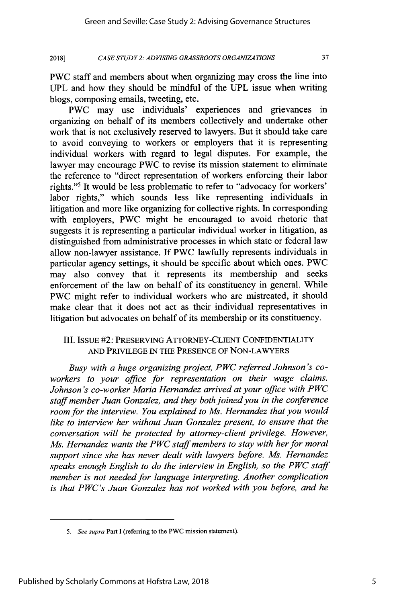*CASE STUDY 2: ADVISING GRASSROOTS ORGANIZATIONS* **20181**

37

PWC staff and members about when organizing may cross the line into UPL and how they should be mindful of the UPL issue when writing blogs, composing emails, tweeting, etc.

PWC may use individuals' experiences and grievances in organizing on behalf of its members collectively and undertake other work that is not exclusively reserved to lawyers. But it should take care to avoid conveying to workers or employers that it is representing individual workers with regard to legal disputes. For example, the lawyer may encourage PWC to revise its mission statement to eliminate the reference to "direct representation of workers enforcing their labor rights."5 It would be less problematic to refer to "advocacy for workers' labor rights," which sounds less like representing individuals in litigation and more like organizing for collective rights. In corresponding with employers, PWC might be encouraged to avoid rhetoric that suggests it is representing a particular individual worker in litigation, as distinguished from administrative processes in which state or federal law allow non-lawyer assistance. If PWC lawfully represents individuals in particular agency settings, it should be specific about which ones. PWC may also convey that it represents its membership and seeks enforcement of the law on behalf of its constituency in general. While PWC might refer to individual workers who are mistreated, it should make clear that it does not act as their individual representatives in litigation but advocates on behalf of its membership or its constituency.

### III. ISSUE #2: PRESERVING ATTORNEY-CLIENT CONFIDENTIALITY AND PRIVILEGE IN THE PRESENCE OF NON-LAWYERS

*Busy with a huge organizing project, PWC referred Johnson's coworkers to your office for representation on their wage claims. Johnson's co-worker Maria Hernandez arrived at your office with PWC staff member Juan Gonzalez, and they both joined you in the conference room for the interview. You explained to Ms. Hernandez that you would like to interview her without Juan Gonzalez present, to ensure that the conversation will be protected by attorney-client privilege. However, Ms. Hernandez wants the PWC staff members to stay with her for moral support since she has never dealt with lawyers before. Ms. Hernandez speaks enough English to do the interview in English, so the PWC staff member is not needed for language interpreting. Another complication is that PWC's Juan Gonzalez has not worked with you before, and he*

*<sup>5.</sup> See supra* Part I (referring to the PWC mission statement).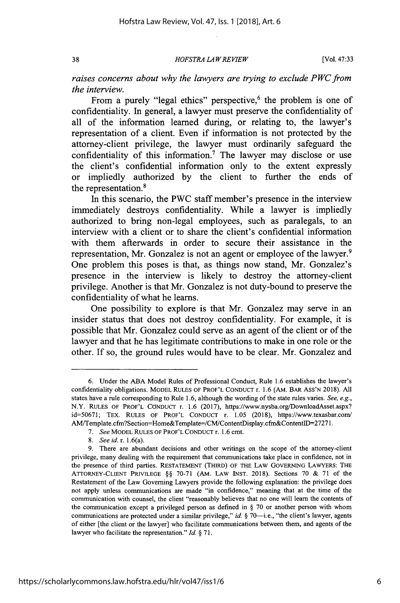38

*HOFS TRA LA W REVIEW*

[Vol. **47:33**

*raises concerns about why the lawyers are trying to exclude PWC from the interview.*

From a purely "legal ethics" perspective,<sup>6</sup> the problem is one of confidentiality. In general, a lawyer must preserve the confidentiality of all of the information learned during, or relating to, the lawyer's representation of a client. Even if information is not protected by the attorney-client privilege, the lawyer must ordinarily safeguard the confidentiality of this information.<sup>7</sup> The lawyer may disclose or use the client's confidential information only to the extent expressly or impliedly authorized by the client to further the ends of the representation.<sup>8</sup>

In this scenario, the PWC staff member's presence in the interview immediately destroys confidentiality. While a lawyer is impliedly authorized to bring non-legal employees, such as paralegals, to an interview with a client or to share the client's confidential information with them afterwards in order to secure their assistance in the representation, Mr. Gonzalez is not an agent or employee of the lawyer.<sup>9</sup> One problem this poses is that, as things now stand, Mr. Gonzalez's presence in the interview is likely to destroy the attorney-client privilege. Another is that Mr. Gonzalez is not duty-bound to preserve the confidentiality of what he learns.

One possibility to explore is that Mr. Gonzalez may serve in an insider status that does not destroy confidentiality. For example, it is possible that Mr. Gonzalez could serve as an agent of the client or of the lawyer and that he has legitimate contributions to make in one role or the other. If so, the ground rules would have to be clear. Mr. Gonzalez and

<sup>6.</sup> Under the ABA Model Rules of Professional Conduct, Rule 1.6 establishes the lawyer's confidentiality obligations. MODEL **RULES** OF PROF'L **CONDUCT** r. 1.6 (AM. BAR ASS'N 2018). All states have a rule corresponding to Rule 1.6, although the wording of the state rules varies. See, e.g., N.Y. RULES OF PROF'L CONDUCT r. 1.6 (2017), https://www.nysba.org/DownloadAsset.aspx? id=50671; TEx. **RULES** OF PROF'L CONDUCT r. 1.05 (2018), https://www.texasbar.com/ AaM/Template.cfn?Section=Home&Template=/CM/ContentDisplay.cfin&ContentlD=2727 1.

*<sup>7.</sup> See* MODEL RULES OF PROF'L CONDUCT r. 1.6 cmt.

*<sup>8.</sup> See id.* r. 1.6(a).

<sup>9.</sup> There are abundant decisions and other writings on the scope of the attorney-client privilege, many dealing with the requirement that communications take place in confidence, not in the presence of third parties. **RESTATEMENT** (THIRD) OF THE LAW GOVERNING LAWYERS: THE ATrORNEY-CLIENT PRIVILEGE §§ 70-71 (AM. LAW INST. 2018). Sections 70 & 71 of the Restatement of the Law Governing Lawyers provide the following explanation: the privilege does not apply unless communications are made "in confidence," meaning that at the time of the communication with counsel, the client "reasonably believes that no one will learn the contents of the communication except a privileged person as defined in § 70 or another person with whom communications are protected under a similar privilege," *id.* § 70-i.e., "the client's lawyer, agents of either [the client or the lawyer] who facilitate communications between them, and agents of the lawyer who facilitate the representation." *Id. §* 71.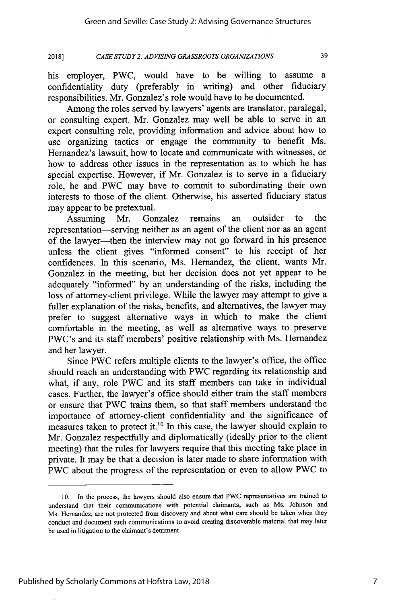39

*CASE STUDY 2: AD VISING GRASSROOTS ORGANIZATIONS* **2018]**

his employer, PWC, would have to be willing to assume a confidentiality duty (preferably in writing) and other fiduciary responsibilities. Mr. Gonzalez's role would have to be documented.

Among the roles served by lawyers' agents are translator, paralegal, or consulting expert. Mr. Gonzalez may well be able to serve in an expert consulting role, providing information and advice about how to use organizing tactics or engage the community to benefit Ms. Hernandez's lawsuit, how to locate and communicate with witnesses, or how to address other issues in the representation as to which he has special expertise. However, if Mr. Gonzalez is to serve in a fiduciary role, he and PWC may have to commit to subordinating their own interests to those of the client. Otherwise, his asserted fiduciary status may appear to be pretextual.

Assuming Mr. Gonzalez remains an outsider to the representation-serving neither as an agent of the client nor as an agent of the lawyer-then the interview may not go forward in his presence unless the client gives "informed consent" to his receipt of her confidences. In this scenario, Ms. Hernandez, the client, wants Mr. Gonzalez in the meeting, but her decision does not yet appear to be adequately "informed" by an understanding of the risks, including the loss of attorney-client privilege. While the lawyer may attempt to give a fuller explanation of the risks, benefits, and alternatives, the lawyer may prefer to suggest alternative ways in which to make the client comfortable in the meeting, as well as alternative ways to preserve PWC's and its staff members' positive relationship with Ms. Hernandez and her lawyer.

Since PWC refers multiple clients to the lawyer's office, the office should reach an understanding with PWC regarding its relationship and what, if any, role PWC and its staff members can take in individual cases. Further, the lawyer's office should either train the staff members or ensure that PWC trains them, so that staff members understand the importance of attorney-client confidentiality and the significance of measures taken to protect it.<sup>10</sup> In this case, the lawyer should explain to Mr. Gonzalez respectfully and diplomatically (ideally prior to the client meeting) that the rules for lawyers require that this meeting take place in private. It may be that a decision is later made to share information with PWC about the progress of the representation or even to allow PWC to

7

<sup>10.</sup> In the process, the lawyers should also ensure that PWC representatives are trained to understand that their communications with potential claimants, such as Ms. Johnson and Ms. Hemandez, are not protected from discovery and about what care should be taken when they conduct and document such communications to avoid creating discoverable material that may later be used in litigation to the claimant's detriment.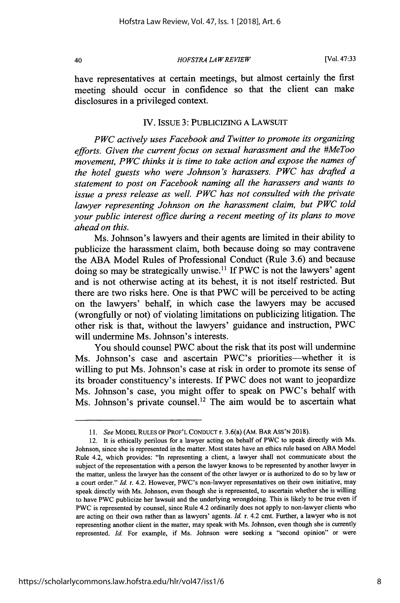40

*HOFSTRA LA WREVIEW*

have representatives at certain meetings, but almost certainly the first meeting should occur in confidence so that the client can make disclosures in a privileged context.

#### IV. ISSUE 3: PUBLICIZING A LAWSUIT

*PWC actively uses Facebook and Twitter to promote its organizing efforts. Given the current focus on sexual harassment and the #MeToo movement, PWC thinks it is time to take action and expose the names of the hotel guests who were Johnson's harassers. PWC has drafted a statement to post on Facebook naming all the harassers and wants to issue a press release as well. PWC has not consulted with the private lawyer representing Johnson on the harassment claim, but PWC told your public interest office during a recent meeting of its plans to move ahead on this.*

Ms. Johnson's lawyers and their agents are limited in their ability to publicize the harassment claim, both because doing so may contravene the ABA Model Rules of Professional Conduct (Rule 3.6) and because doing so may be strategically unwise.<sup>11</sup> If PWC is not the lawyers' agent and is not otherwise acting at its behest, it is not itself restricted. But there are two risks here. One is that PWC will be perceived to be acting on the lawyers' behalf, in which case the lawyers may be accused (wrongfully or not) of violating limitations on publicizing litigation. The other risk is that, without the lawyers' guidance and instruction, PWC will undermine Ms. Johnson's interests.

You should counsel PWC about the risk that its post will undermine Ms. Johnson's case and ascertain PWC's priorities-whether it is willing to put Ms. Johnson's case at risk in order to promote its sense of its broader constituency's interests. If PWC does not want to jeopardize Ms. Johnson's case, you might offer to speak on PWC's behalf with Ms. Johnson's private counsel.<sup>12</sup> The aim would be to ascertain what

*<sup>11.</sup> See* MODEL RULES OF PROF'L **CONDUCT** r. 3.6(a) (AM. BAR **ASS'N** 2018).

<sup>12.</sup> It is ethically perilous for a lawyer acting on behalf of PWC to speak directly with Ms. Johnson, since she is represented in the matter. Most states have an ethics rule based on ABA Model Rule 4.2, which provides: "In representing a client, a lawyer shall not communicate about the subject of the representation with a person the lawyer knows to be represented by another lawyer in the matter, unless the lawyer has the consent of the other lawyer or is authorized to do so by law or a court order." *Id.* r. 4.2. However, PWC's non-lawyer representatives on their own initiative, may speak directly with Ms. Johnson, even though she is represented, to ascertain whether she is willing to have PWC publicize her lawsuit and the underlying wrongdoing. This is likely to be true even if PWC is represented by counsel, since Rule 4.2 ordinarily does not apply to non-lawyer clients who are acting on their own rather than as lawyers' agents. *Id.* r. 4.2 cmt. Further, a lawyer who is not representing another client in the matter, may speak with Ms. Johnson, even though she is currently represented. *Id.* For example, if Ms. Johnson were seeking a "second opinion" or were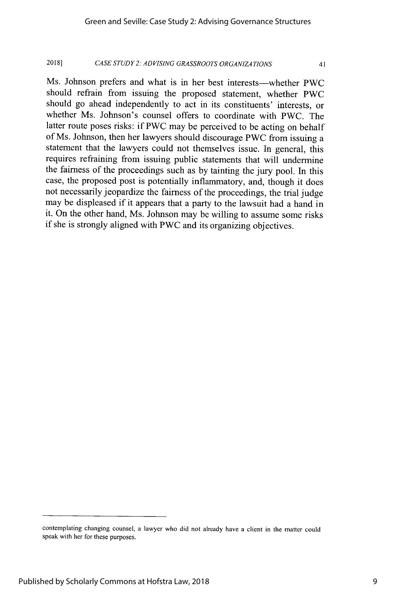#### *CASE STUDY 2: ADVISING GRASSROOTS ORGANIZATIONS* **2018]**

41

Ms. Johnson prefers and what is in her best interests—whether PWC should refrain from issuing the proposed statement, whether PWC should go ahead independently to act in its constituents' interests, or whether Ms. Johnson's counsel offers to coordinate with PWC. The latter route poses risks: if PWC may be perceived to be acting on behalf of Ms. Johnson, then her lawyers should discourage PWC from issuing a statement that the lawyers could not themselves issue. In general, this requires refraining from issuing public statements that will undermine the fairness of the proceedings such as by tainting the jury pool. In this case, the proposed post is potentially inflammatory, and, though it does not necessarily jeopardize the fairness of the proceedings, the trial judge may be displeased if it appears that a party to the lawsuit had a hand in it. On the other hand, Ms. Johnson may be willing to assume some risks if she is strongly aligned with PWC and its organizing objectives.

contemplating changing counsel, a lawyer who did not already have a client in the matter could speak with her for these purposes.